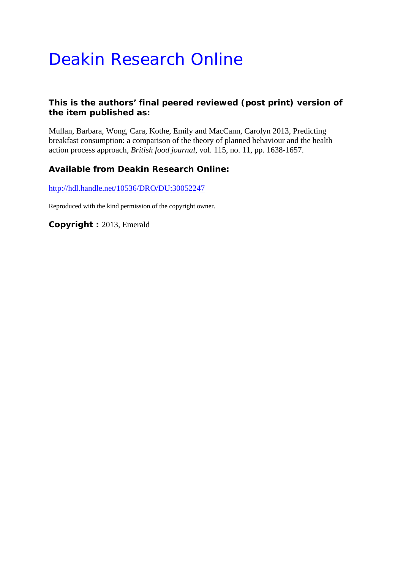# Deakin Research Online

# **This is the authors' final peered reviewed (post print) version of the item published as:**

Mullan, Barbara, Wong, Cara, Kothe, Emily and MacCann, Carolyn 2013, Predicting breakfast consumption: a comparison of the theory of planned behaviour and the health action process approach*, British food journal*, vol. 115, no. 11, pp. 1638-1657.

## **Available from Deakin Research Online:**

http://hdl.handle.net/10536/DRO/DU:30052247

Reproduced with the kind permission of the copyright owner.

**Copyright :** 2013, Emerald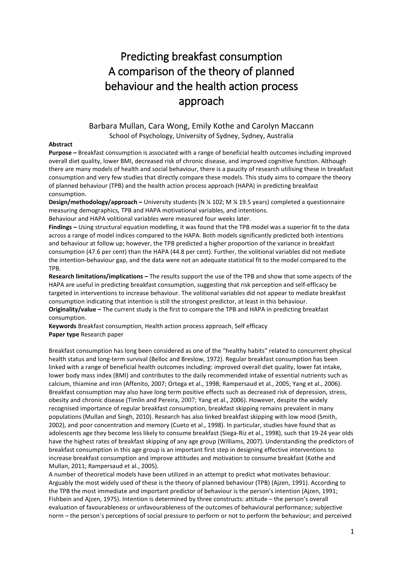# Predicting breakfast consumption A comparison of the theory of planned behaviour and the health action process approach

### Barbara Mullan, Cara Wong, Emily Kothe and Carolyn Maccann School of Psychology, University of Sydney, Sydney, Australia

#### **Abstract**

**Purpose –** Breakfast consumption is associated with a range of beneficial health outcomes including improved overall diet quality, lower BMI, decreased risk of chronic disease, and improved cognitive function. Although there are many models of health and social behaviour, there is a paucity of research utilising these in breakfast consumption and very few studies that directly compare these models. This study aims to compare the theory of planned behaviour (TPB) and the health action process approach (HAPA) in predicting breakfast consumption.

**Design/methodology/approach –** University students (N ¼ 102; M ¼ 19.5 years) completed a questionnaire measuring demographics, TPB and HAPA motivational variables, and intentions.

Behaviour and HAPA volitional variables were measured four weeks later.

**Findings –** Using structural equation modelling, it was found that the TPB model was a superior fit to the data across a range of model indices compared to the HAPA. Both models significantly predicted both intentions and behaviour at follow up; however, the TPB predicted a higher proportion of the variance in breakfast consumption (47.6 per cent) than the HAPA (44.8 per cent). Further, the volitional variables did not mediate the intention-behaviour gap, and the data were not an adequate statistical fit to the model compared to the TPB.

**Research limitations/implications –** The results support the use of the TPB and show that some aspects of the HAPA are useful in predicting breakfast consumption, suggesting that risk perception and self-efficacy be targeted in interventions to increase behaviour. The volitional variables did not appear to mediate breakfast consumption indicating that intention is still the strongest predictor, at least in this behaviour. **Originality/value –** The current study is the first to compare the TPB and HAPA in predicting breakfast consumption.

**Keywords** Breakfast consumption, Health action process approach, Self efficacy **Paper type** Research paper

Breakfast consumption has long been considered as one of the "healthy habits" related to concurrent physical health status and long-term survival (Belloc and Breslow, 1972). Regular breakfast consumption has been linked with a range of beneficial health outcomes including: improved overall diet quality, lower fat intake, lower body mass index (BMI) and contributes to the daily recommended intake of essential nutrients such as calcium, thiamine and iron (Affenito, 2007; Ortega et al., 1998; Rampersaud et al., 2005; Yang et al., 2006). Breakfast consumption may also have long term positive effects such as decreased risk of depression, stress, obesity and chronic disease (Timlin and Pereira, 2007; Yang et al., 2006). However, despite the widely recognised importance of regular breakfast consumption, breakfast skipping remains prevalent in many populations (Mullan and Singh, 2010). Research has also linked breakfast skipping with low mood (Smith, 2002), and poor concentration and memory (Cueto et al., 1998). In particular, studies have found that as adolescents age they become less likely to consume breakfast (Siega-Riz et al., 1998), such that 19-24 year olds have the highest rates of breakfast skipping of any age group (Williams, 2007). Understanding the predictors of breakfast consumption in this age group is an important first step in designing effective interventions to increase breakfast consumption and improve attitudes and motivation to consume breakfast (Kothe and Mullan, 2011; Rampersaud et al., 2005).

A number of theoretical models have been utilized in an attempt to predict what motivates behaviour. Arguably the most widely used of these is the theory of planned behaviour (TPB) (Ajzen, 1991). According to the TPB the most immediate and important predictor of behaviour is the person's intention (Ajzen, 1991; Fishbein and Ajzen, 1975). Intention is determined by three constructs: attitude – the person's overall evaluation of favourableness or unfavourableness of the outcomes of behavioural performance; subjective norm – the person's perceptions of social pressure to perform or not to perform the behaviour; and perceived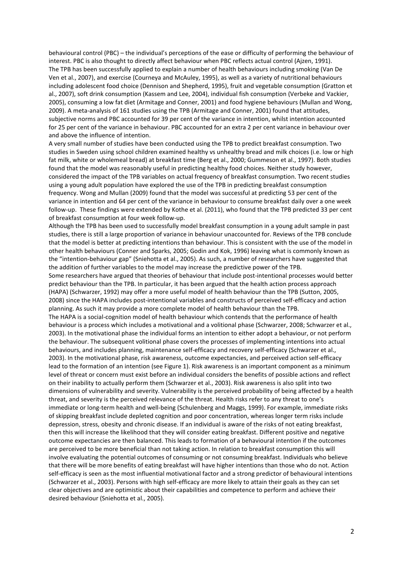behavioural control (PBC) – the individual's perceptions of the ease or difficulty of performing the behaviour of interest. PBC is also thought to directly affect behaviour when PBC reflects actual control (Ajzen, 1991). The TPB has been successfully applied to explain a number of health behaviours including smoking (Van De Ven et al., 2007), and exercise (Courneya and McAuley, 1995), as well as a variety of nutritional behaviours including adolescent food choice (Dennison and Shepherd, 1995), fruit and vegetable consumption (Gratton et al., 2007), soft drink consumption (Kassem and Lee, 2004), individual fish consumption (Verbeke and Vackier, 2005), consuming a low fat diet (Armitage and Conner, 2001) and food hygiene behaviours (Mullan and Wong, 2009). A meta-analysis of 161 studies using the TPB (Armitage and Conner, 2001) found that attitudes, subjective norms and PBC accounted for 39 per cent of the variance in intention, whilst intention accounted for 25 per cent of the variance in behaviour. PBC accounted for an extra 2 per cent variance in behaviour over and above the influence of intention.

A very small number of studies have been conducted using the TPB to predict breakfast consumption. Two studies in Sweden using school children examined healthy vs unhealthy bread and milk choices (i.e. low or high fat milk, white or wholemeal bread) at breakfast time (Berg et al., 2000; Gummeson et al., 1997). Both studies found that the model was reasonably useful in predicting healthy food choices. Neither study however, considered the impact of the TPB variables on actual frequency of breakfast consumption. Two recent studies using a young adult population have explored the use of the TPB in predicting breakfast consumption frequency. Wong and Mullan (2009) found that the model was successful at predicting 53 per cent of the variance in intention and 64 per cent of the variance in behaviour to consume breakfast daily over a one week follow-up. These findings were extended by Kothe et al. (2011), who found that the TPB predicted 33 per cent of breakfast consumption at four week follow-up.

Although the TPB has been used to successfully model breakfast consumption in a young adult sample in past studies, there is still a large proportion of variance in behaviour unaccounted for. Reviews of the TPB conclude that the model is better at predicting intentions than behaviour. This is consistent with the use of the model in other health behaviours (Conner and Sparks, 2005; Godin and Kok, 1996) leaving what is commonly known as the "intention-behaviour gap" (Sniehotta et al., 2005). As such, a number of researchers have suggested that the addition of further variables to the model may increase the predictive power of the TPB.

Some researchers have argued that theories of behaviour that include post-intentional processes would better predict behaviour than the TPB. In particular, it has been argued that the health action process approach (HAPA) (Schwarzer, 1992) may offer a more useful model of health behaviour than the TPB (Sutton, 2005, 2008) since the HAPA includes post-intentional variables and constructs of perceived self-efficacy and action planning. As such it may provide a more complete model of health behaviour than the TPB.

The HAPA is a social-cognition model of health behaviour which contends that the performance of health behaviour is a process which includes a motivational and a volitional phase (Schwarzer, 2008; Schwarzer et al., 2003). In the motivational phase the individual forms an intention to either adopt a behaviour, or not perform the behaviour. The subsequent volitional phase covers the processes of implementing intentions into actual behaviours, and includes planning, maintenance self-efficacy and recovery self-efficacy (Schwarzer et al., 2003). In the motivational phase, risk awareness, outcome expectancies, and perceived action self-efficacy lead to the formation of an intention (see Figure 1). Risk awareness is an important component as a minimum level of threat or concern must exist before an individual considers the benefits of possible actions and reflect on their inability to actually perform them (Schwarzer et al., 2003). Risk awareness is also split into two dimensions of vulnerability and severity. Vulnerability is the perceived probability of being affected by a health threat, and severity is the perceived relevance of the threat. Health risks refer to any threat to one's immediate or long-term health and well-being (Schulenberg and Maggs, 1999). For example, immediate risks of skipping breakfast include depleted cognition and poor concentration, whereas longer term risks include depression, stress, obesity and chronic disease. If an individual is aware of the risks of not eating breakfast, then this will increase the likelihood that they will consider eating breakfast. Different positive and negative outcome expectancies are then balanced. This leads to formation of a behavioural intention if the outcomes are perceived to be more beneficial than not taking action. In relation to breakfast consumption this will involve evaluating the potential outcomes of consuming or not consuming breakfast. Individuals who believe that there will be more benefits of eating breakfast will have higher intentions than those who do not. Action self-efficacy is seen as the most influential motivational factor and a strong predictor of behavioural intentions (Schwarzer et al., 2003). Persons with high self-efficacy are more likely to attain their goals as they can set clear objectives and are optimistic about their capabilities and competence to perform and achieve their desired behaviour (Sniehotta et al., 2005).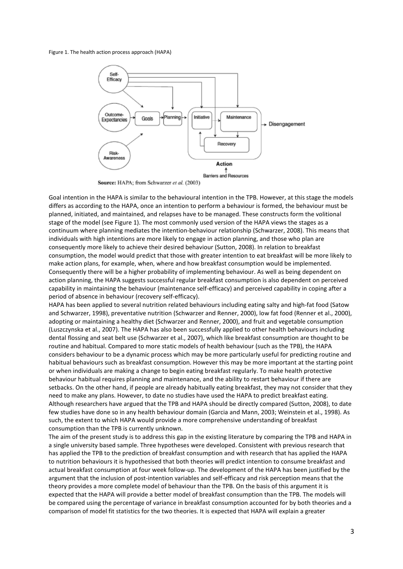#### Figure 1. The health action process approach (HAPA)



Source: HAPA: from Schwarzer et al. (2003)

Goal intention in the HAPA is similar to the behavioural intention in the TPB. However, at this stage the models differs as according to the HAPA, once an intention to perform a behaviour is formed, the behaviour must be planned, initiated, and maintained, and relapses have to be managed. These constructs form the volitional stage of the model (see Figure 1). The most commonly used version of the HAPA views the stages as a continuum where planning mediates the intention-behaviour relationship (Schwarzer, 2008). This means that individuals with high intentions are more likely to engage in action planning, and those who plan are consequently more likely to achieve their desired behaviour (Sutton, 2008). In relation to breakfast consumption, the model would predict that those with greater intention to eat breakfast will be more likely to make action plans, for example, when, where and how breakfast consumption would be implemented. Consequently there will be a higher probability of implementing behaviour. As well as being dependent on action planning, the HAPA suggests successful regular breakfast consumption is also dependent on perceived capability in maintaining the behaviour (maintenance self-efficacy) and perceived capability in coping after a period of absence in behaviour (recovery self-efficacy).

HAPA has been applied to several nutrition related behaviours including eating salty and high-fat food (Satow and Schwarzer, 1998), preventative nutrition (Schwarzer and Renner, 2000), low fat food (Renner et al., 2000), adopting or maintaining a healthy diet (Schwarzer and Renner, 2000), and fruit and vegetable consumption (Luszczynska et al., 2007). The HAPA has also been successfully applied to other health behaviours including dental flossing and seat belt use (Schwarzer et al., 2007), which like breakfast consumption are thought to be routine and habitual. Compared to more static models of health behaviour (such as the TPB), the HAPA considers behaviour to be a dynamic process which may be more particularly useful for predicting routine and habitual behaviours such as breakfast consumption. However this may be more important at the starting point or when individuals are making a change to begin eating breakfast regularly. To make health protective behaviour habitual requires planning and maintenance, and the ability to restart behaviour if there are setbacks. On the other hand, if people are already habitually eating breakfast, they may not consider that they need to make any plans. However, to date no studies have used the HAPA to predict breakfast eating. Although researchers have argued that the TPB and HAPA should be directly compared (Sutton, 2008), to date few studies have done so in any health behaviour domain (Garcia and Mann, 2003; Weinstein et al., 1998). As such, the extent to which HAPA would provide a more comprehensive understanding of breakfast consumption than the TPB is currently unknown.

The aim of the present study is to address this gap in the existing literature by comparing the TPB and HAPA in a single university based sample. Three hypotheses were developed. Consistent with previous research that has applied the TPB to the prediction of breakfast consumption and with research that has applied the HAPA to nutrition behaviours it is hypothesised that both theories will predict intention to consume breakfast and actual breakfast consumption at four week follow-up. The development of the HAPA has been justified by the argument that the inclusion of post-intention variables and self-efficacy and risk perception means that the theory provides a more complete model of behaviour than the TPB. On the basis of this argument it is expected that the HAPA will provide a better model of breakfast consumption than the TPB. The models will be compared using the percentage of variance in breakfast consumption accounted for by both theories and a comparison of model fit statistics for the two theories. It is expected that HAPA will explain a greater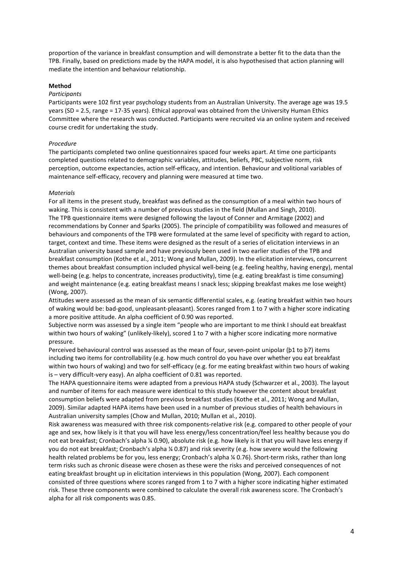proportion of the variance in breakfast consumption and will demonstrate a better fit to the data than the TPB. Finally, based on predictions made by the HAPA model, it is also hypothesised that action planning will mediate the intention and behaviour relationship.

#### **Method**

#### *Participants*

Participants were 102 first year psychology students from an Australian University. The average age was 19.5 years (SD = 2.5, range = 17-35 years). Ethical approval was obtained from the University Human Ethics Committee where the research was conducted. Participants were recruited via an online system and received course credit for undertaking the study.

#### *Procedure*

The participants completed two online questionnaires spaced four weeks apart. At time one participants completed questions related to demographic variables, attitudes, beliefs, PBC, subjective norm, risk perception, outcome expectancies, action self-efficacy, and intention. Behaviour and volitional variables of maintenance self-efficacy, recovery and planning were measured at time two.

#### *Materials*

For all items in the present study, breakfast was defined as the consumption of a meal within two hours of waking. This is consistent with a number of previous studies in the field (Mullan and Singh, 2010). The TPB questionnaire items were designed following the layout of Conner and Armitage (2002) and recommendations by Conner and Sparks (2005). The principle of compatibility was followed and measures of behaviours and components of the TPB were formulated at the same level of specificity with regard to action, target, context and time. These items were designed as the result of a series of elicitation interviews in an Australian university based sample and have previously been used in two earlier studies of the TPB and breakfast consumption (Kothe et al., 2011; Wong and Mullan, 2009). In the elicitation interviews, concurrent themes about breakfast consumption included physical well-being (e.g. feeling healthy, having energy), mental well-being (e.g. helps to concentrate, increases productivity), time (e.g. eating breakfast is time consuming) and weight maintenance (e.g. eating breakfast means I snack less; skipping breakfast makes me lose weight) (Wong, 2007).

Attitudes were assessed as the mean of six semantic differential scales, e.g. (eating breakfast within two hours of waking would be: bad-good, unpleasant-pleasant). Scores ranged from 1 to 7 with a higher score indicating a more positive attitude. An alpha coefficient of 0.90 was reported.

Subjective norm was assessed by a single item "people who are important to me think I should eat breakfast within two hours of waking" (unlikely-likely), scored 1 to 7 with a higher score indicating more normative pressure.

Perceived behavioural control was assessed as the mean of four, seven-point unipolar ( $p1$  to  $p7$ ) items including two items for controllability (e.g. how much control do you have over whether you eat breakfast within two hours of waking) and two for self-efficacy (e.g. for me eating breakfast within two hours of waking is – very difficult-very easy). An alpha coefficient of 0.81 was reported.

The HAPA questionnaire items were adapted from a previous HAPA study (Schwarzer et al., 2003). The layout and number of items for each measure were identical to this study however the content about breakfast consumption beliefs were adapted from previous breakfast studies (Kothe et al., 2011; Wong and Mullan, 2009). Similar adapted HAPA items have been used in a number of previous studies of health behaviours in Australian university samples (Chow and Mullan, 2010; Mullan et al., 2010).

Risk awareness was measured with three risk components-relative risk (e.g. compared to other people of your age and sex, how likely is it that you will have less energy/less concentration/feel less healthy because you do not eat breakfast; Cronbach's alpha ¼ 0.90), absolute risk (e.g. how likely is it that you will have less energy if you do not eat breakfast; Cronbach's alpha ¼ 0.87) and risk severity (e.g. how severe would the following health related problems be for you, less energy; Cronbach's alpha ¼ 0.76). Short-term risks, rather than long term risks such as chronic disease were chosen as these were the risks and perceived consequences of not eating breakfast brought up in elicitation interviews in this population (Wong, 2007). Each component consisted of three questions where scores ranged from 1 to 7 with a higher score indicating higher estimated risk. These three components were combined to calculate the overall risk awareness score. The Cronbach's alpha for all risk components was 0.85.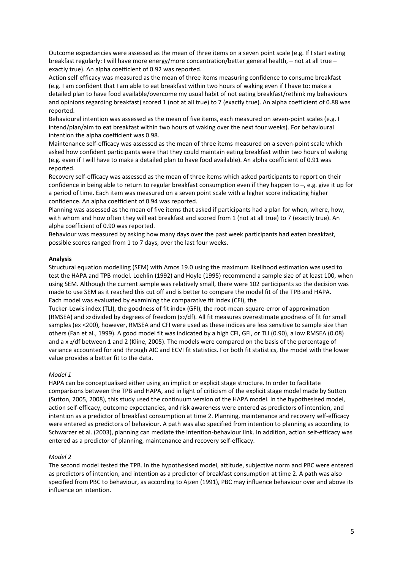Outcome expectancies were assessed as the mean of three items on a seven point scale (e.g. If I start eating breakfast regularly: I will have more energy/more concentration/better general health, – not at all true – exactly true). An alpha coefficient of 0.92 was reported.

Action self-efficacy was measured as the mean of three items measuring confidence to consume breakfast (e.g. I am confident that I am able to eat breakfast within two hours of waking even if I have to: make a detailed plan to have food available/overcome my usual habit of not eating breakfast/rethink my behaviours and opinions regarding breakfast) scored 1 (not at all true) to 7 (exactly true). An alpha coefficient of 0.88 was reported.

Behavioural intention was assessed as the mean of five items, each measured on seven-point scales (e.g. I intend/plan/aim to eat breakfast within two hours of waking over the next four weeks). For behavioural intention the alpha coefficient was 0.98.

Maintenance self-efficacy was assessed as the mean of three items measured on a seven-point scale which asked how confident participants were that they could maintain eating breakfast within two hours of waking (e.g. even if I will have to make a detailed plan to have food available). An alpha coefficient of 0.91 was reported.

Recovery self-efficacy was assessed as the mean of three items which asked participants to report on their confidence in being able to return to regular breakfast consumption even if they happen to -, e.g. give it up for a period of time. Each item was measured on a seven point scale with a higher score indicating higher confidence. An alpha coefficient of 0.94 was reported.

Planning was assessed as the mean of five items that asked if participants had a plan for when, where, how, with whom and how often they will eat breakfast and scored from 1 (not at all true) to 7 (exactly true). An alpha coefficient of 0.90 was reported.

Behaviour was measured by asking how many days over the past week participants had eaten breakfast, possible scores ranged from 1 to 7 days, over the last four weeks.

#### **Analysis**

Structural equation modelling (SEM) with Amos 19.0 using the maximum likelihood estimation was used to test the HAPA and TPB model. Loehlin (1992) and Hoyle (1995) recommend a sample size of at least 100, when using SEM. Although the current sample was relatively small, there were 102 participants so the decision was made to use SEM as it reached this cut off and is better to compare the model fit of the TPB and HAPA. Each model was evaluated by examining the comparative fit index (CFI), the

Tucker-Lewis index (TLI), the goodness of fit index (GFI), the root-mean-square-error of approximation (RMSEA) and x2 divided by degrees of freedom (x2/df). All fit measures overestimate goodness of fit for small samples (ex <200), however, RMSEA and CFI were used as these indices are less sensitive to sample size than others (Fan et al., 1999). A good model fit was indicated by a high CFI, GFI, or TLI (0.90), a low RMSEA (0.08) and a x 2/df between 1 and 2 (Kline, 2005). The models were compared on the basis of the percentage of variance accounted for and through AIC and ECVI fit statistics. For both fit statistics, the model with the lower value provides a better fit to the data.

#### *Model 1*

HAPA can be conceptualised either using an implicit or explicit stage structure. In order to facilitate comparisons between the TPB and HAPA, and in light of criticism of the explicit stage model made by Sutton (Sutton, 2005, 2008), this study used the continuum version of the HAPA model. In the hypothesised model, action self-efficacy, outcome expectancies, and risk awareness were entered as predictors of intention, and intention as a predictor of breakfast consumption at time 2. Planning, maintenance and recovery self-efficacy were entered as predictors of behaviour. A path was also specified from intention to planning as according to Schwarzer et al. (2003), planning can mediate the intention-behaviour link. In addition, action self-efficacy was entered as a predictor of planning, maintenance and recovery self-efficacy.

#### *Model 2*

The second model tested the TPB. In the hypothesised model, attitude, subjective norm and PBC were entered as predictors of intention, and intention as a predictor of breakfast consumption at time 2. A path was also specified from PBC to behaviour, as according to Ajzen (1991), PBC may influence behaviour over and above its influence on intention.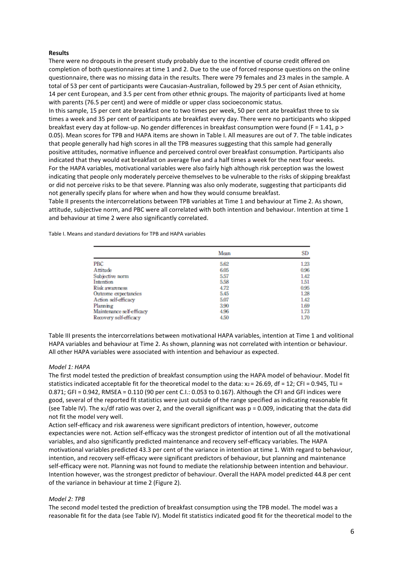#### **Results**

There were no dropouts in the present study probably due to the incentive of course credit offered on completion of both questionnaires at time 1 and 2. Due to the use of forced response questions on the online questionnaire, there was no missing data in the results. There were 79 females and 23 males in the sample. A total of 53 per cent of participants were Caucasian-Australian, followed by 29.5 per cent of Asian ethnicity, 14 per cent European, and 3.5 per cent from other ethnic groups. The majority of participants lived at home with parents (76.5 per cent) and were of middle or upper class socioeconomic status.

In this sample, 15 per cent ate breakfast one to two times per week, 50 per cent ate breakfast three to six times a week and 35 per cent of participants ate breakfast every day. There were no participants who skipped breakfast every day at follow-up. No gender differences in breakfast consumption were found (F = 1.41, p > 0.05). Mean scores for TPB and HAPA items are shown in Table I. All measures are out of 7. The table indicates that people generally had high scores in all the TPB measures suggesting that this sample had generally positive attitudes, normative influence and perceived control over breakfast consumption. Participants also indicated that they would eat breakfast on average five and a half times a week for the next four weeks. For the HAPA variables, motivational variables were also fairly high although risk perception was the lowest indicating that people only moderately perceive themselves to be vulnerable to the risks of skipping breakfast or did not perceive risks to be that severe. Planning was also only moderate, suggesting that participants did not generally specify plans for where when and how they would consume breakfast.

Table II presents the intercorrelations between TPB variables at Time 1 and behaviour at Time 2. As shown, attitude, subjective norm, and PBC were all correlated with both intention and behaviour. Intention at time 1 and behaviour at time 2 were also significantly correlated.

Table I. Means and standard deviations for TPB and HAPA variables

|                           | Mean | <b>SD</b> |
|---------------------------|------|-----------|
| PBC                       | 5.62 | 1.23      |
| Attitude                  | 6.05 | 0.96      |
| Subjective norm           | 5.57 | 1.42      |
| Intention                 | 5.58 | 1.51      |
| Risk awareness            | 4.72 | 0.95      |
| Outcome expectancies      | 5.45 | 1.28      |
| Action self-efficacy      | 5.07 | 1.42      |
| Planning                  | 3.90 | 1.69      |
| Maintenance self-efficacy | 4.96 | 1.73      |
| Recovery self-efficacy    | 4.50 | 1.70      |

Table III presents the intercorrelations between motivational HAPA variables, intention at Time 1 and volitional HAPA variables and behaviour at Time 2. As shown, planning was not correlated with intention or behaviour. All other HAPA variables were associated with intention and behaviour as expected.

#### *Model 1: HAPA*

The first model tested the prediction of breakfast consumption using the HAPA model of behaviour. Model fit statistics indicated acceptable fit for the theoretical model to the data:  $x_2 = 26.69$ , df = 12; CFI = 0.945, TLI = 0.871; GFI = 0.942, RMSEA = 0.110 (90 per cent C.I.: 0.053 to 0.167). Although the CFI and GFI indices were good, several of the reported fit statistics were just outside of the range specified as indicating reasonable fit (see Table IV). The x2/df ratio was over 2, and the overall significant was  $p = 0.009$ , indicating that the data did not fit the model very well.

Action self-efficacy and risk awareness were significant predictors of intention, however, outcome expectancies were not. Action self-efficacy was the strongest predictor of intention out of all the motivational variables, and also significantly predicted maintenance and recovery self-efficacy variables. The HAPA motivational variables predicted 43.3 per cent of the variance in intention at time 1. With regard to behaviour, intention, and recovery self-efficacy were significant predictors of behaviour, but planning and maintenance self-efficacy were not. Planning was not found to mediate the relationship between intention and behaviour. Intention however, was the strongest predictor of behaviour. Overall the HAPA model predicted 44.8 per cent of the variance in behaviour at time 2 (Figure 2).

#### *Model 2: TPB*

The second model tested the prediction of breakfast consumption using the TPB model. The model was a reasonable fit for the data (see Table IV). Model fit statistics indicated good fit for the theoretical model to the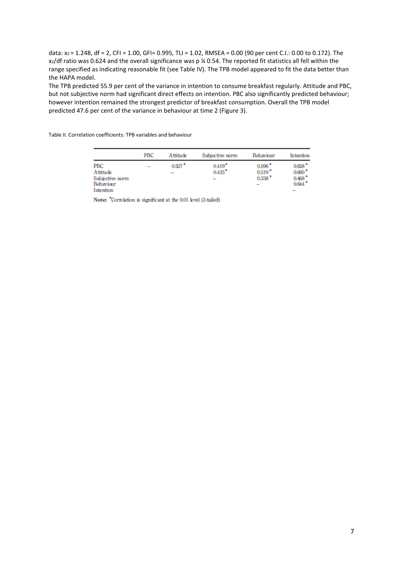data: x2 = 1.248, df = 2, CFI = 1.00, GFI= 0.995, TLI = 1.02, RMSEA = 0.00 (90 per cent C.I.: 0.00 to 0.172). The x2/df ratio was 0.624 and the overall significance was p ¼ 0.54. The reported fit statistics all fell within the range specified as indicating reasonable fit (see Table IV). The TPB model appeared to fit the data better than the HAPA model.

The TPB predicted 55.9 per cent of the variance in intention to consume breakfast regularly. Attitude and PBC, but not subjective norm had significant direct effects on intention. PBC also significantly predicted behaviour; however intention remained the strongest predictor of breakfast consumption. Overall the TPB model predicted 47.6 per cent of the variance in behaviour at time 2 (Figure 3).

Table II. Correlation coefficients: TPB variables and behaviour

|                 | PBC                      | Attitude | Subjective norm | Behaviour | Intention                |
|-----------------|--------------------------|----------|-----------------|-----------|--------------------------|
| <b>PBC</b>      | $\overline{\phantom{a}}$ | $0.527*$ | $0.419*$        | $0.596*$  | 0.628                    |
| Attitude        |                          |          | $0.435*$        | $0.519*$  | $0.660*$                 |
| Subjective norm |                          |          |                 | $0.338*$  | $0.468*$                 |
| Behaviour       |                          |          |                 |           | $0.644*$                 |
| Intention       |                          |          |                 |           | $\overline{\phantom{a}}$ |

Note: \*Correlation is significant at the 0.01 level (2-tailed)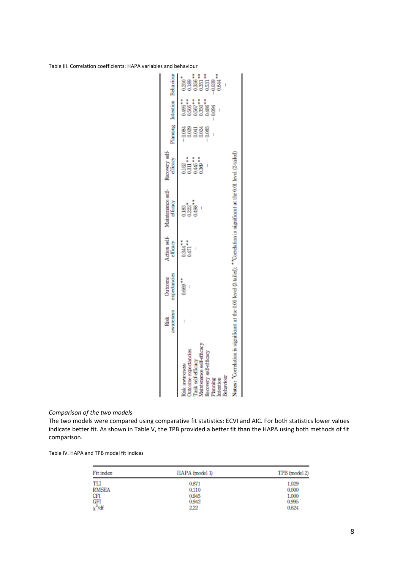|                                                                                                                                                          | awareness<br>Risk | expectancies<br>Outcome | Action self-<br>efficacy | Maintenance self-Recovery self-<br>efficacy |                                 |                                                              | Planning Intention Behaviour |                                             |
|----------------------------------------------------------------------------------------------------------------------------------------------------------|-------------------|-------------------------|--------------------------|---------------------------------------------|---------------------------------|--------------------------------------------------------------|------------------------------|---------------------------------------------|
| Mainterance self-efficacy<br>Recovery self-efficacy<br>Outcome expectancies<br>Task self-efficacy<br>Risk awareness<br>Behaviou<br>Planning<br>Intention |                   | $0.669$ <sup>**</sup>   | $\frac{0.344}{0.471}$    | 0183*<br>0222*<br>0.498*                    | .:<br>연금 <del>년</del> 종<br>당정종종 | ខ្ញុំខ្ញុំ ខ្ញុំ ខ្ញុំ ខ្ញុំ<br>ខ្ញុំខ្ញុំ ខ្ញុំ ខ្ញុំ ខ្ញុំ | $\frac{1}{2}$                | • • • • • •<br>ត្រូន ត្រូត គន្ធនី<br>១៩៩៩៩៩ |
| Notes: "Correlation is significant at the 0.05 level (2-tailed); " "Correlation is significant at the 0.01 level (2-tailed)                              |                   |                         |                          |                                             |                                 |                                                              |                              |                                             |
|                                                                                                                                                          |                   |                         |                          |                                             |                                 |                                                              |                              |                                             |

Table III. Correlation coefficients: HAPA variables and behaviour

#### *Comparison of the two models*

The two models were compared using comparative fit statistics: ECVI and AIC. For both statistics lower values indicate better fit. As shown in Table V, the TPB provided a better fit than the HAPA using both methods of fit comparison.

Table IV. HAPA and TPB model fit indices

| Fit index               | HAPA (model 1) | TPB (model 2) |
|-------------------------|----------------|---------------|
| TLI                     | 0.871          | 1.029         |
| <b>RMSEA</b>            | 0.110          | 0.000         |
| CFI                     | 0.945          | 1.000         |
|                         | 0.942          | 0.995         |
| $\frac{GFI}{\chi^2/df}$ | 2.22           | 0.624         |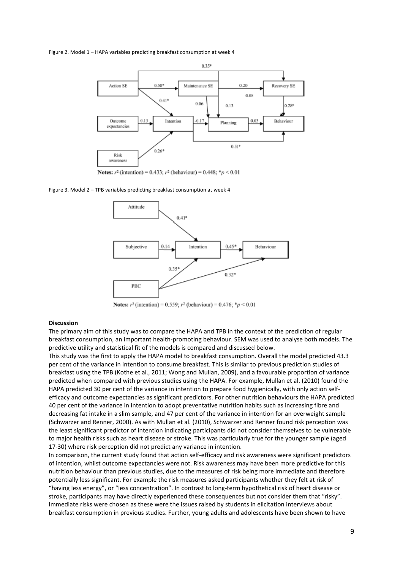#### Figure 2. Model 1 – HAPA variables predicting breakfast consumption at week 4



**Notes:**  $r^2$  (intention) = 0.433;  $r^2$  (behaviour) = 0.448; \*p < 0.01





**Notes:**  $r^2$  (intention) = 0.559;  $r^2$  (behaviour) = 0.476;  $^*p$  < 0.01

#### **Discussion**

The primary aim of this study was to compare the HAPA and TPB in the context of the prediction of regular breakfast consumption, an important health-promoting behaviour. SEM was used to analyse both models. The predictive utility and statistical fit of the models is compared and discussed below.

This study was the first to apply the HAPA model to breakfast consumption. Overall the model predicted 43.3 per cent of the variance in intention to consume breakfast. This is similar to previous prediction studies of breakfast using the TPB (Kothe et al., 2011; Wong and Mullan, 2009), and a favourable proportion of variance predicted when compared with previous studies using the HAPA. For example, Mullan et al. (2010) found the HAPA predicted 30 per cent of the variance in intention to prepare food hygienically, with only action selfefficacy and outcome expectancies as significant predictors. For other nutrition behaviours the HAPA predicted 40 per cent of the variance in intention to adopt preventative nutrition habits such as increasing fibre and decreasing fat intake in a slim sample, and 47 per cent of the variance in intention for an overweight sample (Schwarzer and Renner, 2000). As with Mullan et al. (2010), Schwarzer and Renner found risk perception was the least significant predictor of intention indicating participants did not consider themselves to be vulnerable to major health risks such as heart disease or stroke. This was particularly true for the younger sample (aged 17-30) where risk perception did not predict any variance in intention.

In comparison, the current study found that action self-efficacy and risk awareness were significant predictors of intention, whilst outcome expectancies were not. Risk awareness may have been more predictive for this nutrition behaviour than previous studies, due to the measures of risk being more immediate and therefore potentially less significant. For example the risk measures asked participants whether they felt at risk of "having less energy", or "less concentration". In contrast to long-term hypothetical risk of heart disease or stroke, participants may have directly experienced these consequences but not consider them that "risky". Immediate risks were chosen as these were the issues raised by students in elicitation interviews about breakfast consumption in previous studies. Further, young adults and adolescents have been shown to have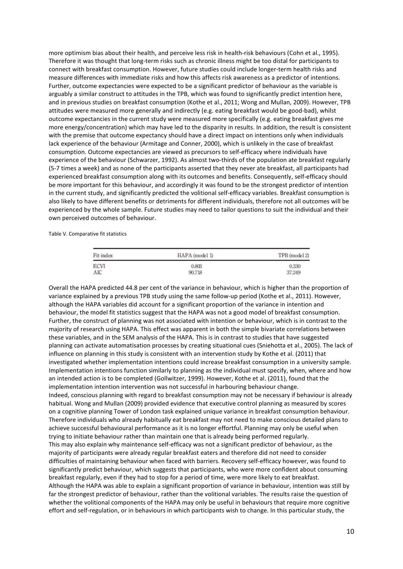more optimism bias about their health, and perceive less risk in health-risk behaviours (Cohn et al., 1995). Therefore it was thought that long-term risks such as chronic illness might be too distal for participants to connect with breakfast consumption. However, future studies could include longer-term health risks and measure differences with immediate risks and how this affects risk awareness as a predictor of intentions. Further, outcome expectancies were expected to be a significant predictor of behaviour as the variable is arguably a similar construct to attitudes in the TPB, which was found to significantly predict intention here, and in previous studies on breakfast consumption (Kothe et al., 2011; Wong and Mullan, 2009). However, TPB attitudes were measured more generally and indirectly (e.g. eating breakfast would be good-bad), whilst outcome expectancies in the current study were measured more specifically (e.g. eating breakfast gives me more energy/concentration) which may have led to the disparity in results. In addition, the result is consistent with the premise that outcome expectancy should have a direct impact on intentions only when individuals lack experience of the behaviour (Armitage and Conner, 2000), which is unlikely in the case of breakfast consumption. Outcome expectancies are viewed as precursors to self-efficacy where individuals have experience of the behaviour (Schwarzer, 1992). As almost two-thirds of the population ate breakfast regularly (5-7 times a week) and as none of the participants asserted that they never ate breakfast, all participants had experienced breakfast consumption along with its outcomes and benefits. Consequently, self-efficacy should be more important for this behaviour, and accordingly it was found to be the strongest predictor of intention in the current study, and significantly predicted the volitional self-efficacy variables. Breakfast consumption is also likely to have different benefits or detriments for different individuals, therefore not all outcomes will be experienced by the whole sample. Future studies may need to tailor questions to suit the individual and their own perceived outcomes of behaviour.

Table V. Comparative fit statistics

| Fit index | HAPA (model 1) | TPB (model 2) |
|-----------|----------------|---------------|
| ECVI      | 0.80B          | 0.330         |
| AIC       | 90.718         | 37.249        |

Overall the HAPA predicted 44.8 per cent of the variance in behaviour, which is higher than the proportion of variance explained by a previous TPB study using the same follow-up period (Kothe et al., 2011). However, although the HAPA variables did account for a significant proportion of the variance in intention and behaviour, the model fit statistics suggest that the HAPA was not a good model of breakfast consumption. Further, the construct of planning was not associated with intention or behaviour, which is in contrast to the majority of research using HAPA. This effect was apparent in both the simple bivariate correlations between these variables, and in the SEM analysis of the HAPA. This is in contrast to studies that have suggested planning can activate automatisation processes by creating situational cues (Sniehotta et al., 2005). The lack of influence on planning in this study is consistent with an intervention study by Kothe et al. (2011) that investigated whether implementation intentions could increase breakfast consumption in a university sample. Implementation intentions function similarly to planning as the individual must specify, when, where and how an intended action is to be completed (Gollwitzer, 1999). However, Kothe et al. (2011), found that the implementation intention intervention was not successful in harbouring behaviour change. Indeed, conscious planning with regard to breakfast consumption may not be necessary if behaviour is already habitual. Wong and Mullan (2009) provided evidence that executive control planning as measured by scores on a cognitive planning Tower of London task explained unique variance in breakfast consumption behaviour. Therefore individuals who already habitually eat breakfast may not need to make conscious detailed plans to achieve successful behavioural performance as it is no longer effortful. Planning may only be useful when trying to initiate behaviour rather than maintain one that is already being performed regularly. This may also explain why maintenance self-efficacy was not a significant predictor of behaviour, as the majority of participants were already regular breakfast eaters and therefore did not need to consider difficulties of maintaining behaviour when faced with barriers. Recovery self-efficacy however, was found to significantly predict behaviour, which suggests that participants, who were more confident about consuming breakfast regularly, even if they had to stop for a period of time, were more likely to eat breakfast. Although the HAPA was able to explain a significant proportion of variance in behaviour, intention was still by far the strongest predictor of behaviour, rather than the volitional variables. The results raise the question of whether the volitional components of the HAPA may only be useful in behaviours that require more cognitive effort and self-regulation, or in behaviours in which participants wish to change. In this particular study, the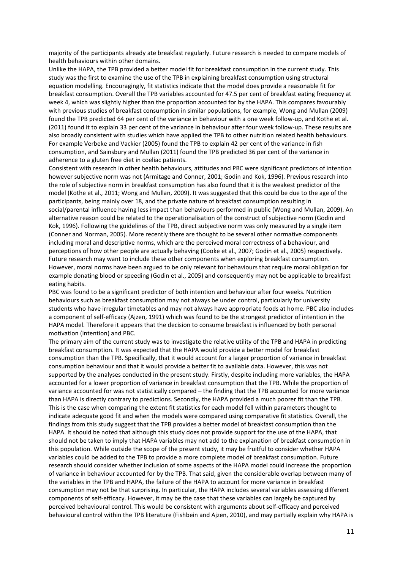majority of the participants already ate breakfast regularly. Future research is needed to compare models of health behaviours within other domains.

Unlike the HAPA, the TPB provided a better model fit for breakfast consumption in the current study. This study was the first to examine the use of the TPB in explaining breakfast consumption using structural equation modelling. Encouragingly, fit statistics indicate that the model does provide a reasonable fit for breakfast consumption. Overall the TPB variables accounted for 47.5 per cent of breakfast eating frequency at week 4, which was slightly higher than the proportion accounted for by the HAPA. This compares favourably with previous studies of breakfast consumption in similar populations, for example, Wong and Mullan (2009) found the TPB predicted 64 per cent of the variance in behaviour with a one week follow-up, and Kothe et al. (2011) found it to explain 33 per cent of the variance in behaviour after four week follow-up. These results are also broadly consistent with studies which have applied the TPB to other nutrition related health behaviours. For example Verbeke and Vackier (2005) found the TPB to explain 42 per cent of the variance in fish consumption, and Sainsbury and Mullan (2011) found the TPB predicted 36 per cent of the variance in adherence to a gluten free diet in coeliac patients.

Consistent with research in other health behaviours, attitudes and PBC were significant predictors of intention however subjective norm was not (Armitage and Conner, 2001; Godin and Kok, 1996). Previous research into the role of subjective norm in breakfast consumption has also found that it is the weakest predictor of the model (Kothe et al., 2011; Wong and Mullan, 2009). It was suggested that this could be due to the age of the participants, being mainly over 18, and the private nature of breakfast consumption resulting in social/parental influence having less impact than behaviours performed in public (Wong and Mullan, 2009). An alternative reason could be related to the operationalisation of the construct of subjective norm (Godin and Kok, 1996). Following the guidelines of the TPB, direct subjective norm was only measured by a single item (Conner and Norman, 2005). More recently there are thought to be several other normative components including moral and descriptive norms, which are the perceived moral correctness of a behaviour, and perceptions of how other people are actually behaving (Cooke et al., 2007; Godin et al., 2005) respectively. Future research may want to include these other components when exploring breakfast consumption. However, moral norms have been argued to be only relevant for behaviours that require moral obligation for example donating blood or speeding (Godin et al., 2005) and consequently may not be applicable to breakfast eating habits.

PBC was found to be a significant predictor of both intention and behaviour after four weeks. Nutrition behaviours such as breakfast consumption may not always be under control, particularly for university students who have irregular timetables and may not always have appropriate foods at home. PBC also includes a component of self-efficacy (Ajzen, 1991) which was found to be the strongest predictor of intention in the HAPA model. Therefore it appears that the decision to consume breakfast is influenced by both personal motivation (intention) and PBC.

The primary aim of the current study was to investigate the relative utility of the TPB and HAPA in predicting breakfast consumption. It was expected that the HAPA would provide a better model for breakfast consumption than the TPB. Specifically, that it would account for a larger proportion of variance in breakfast consumption behaviour and that it would provide a better fit to available data. However, this was not supported by the analyses conducted in the present study. Firstly, despite including more variables, the HAPA accounted for a lower proportion of variance in breakfast consumption that the TPB. While the proportion of variance accounted for was not statistically compared – the finding that the TPB accounted for more variance than HAPA is directly contrary to predictions. Secondly, the HAPA provided a much poorer fit than the TPB. This is the case when comparing the extent fit statistics for each model fell within parameters thought to indicate adequate good fit and when the models were compared using comparative fit statistics. Overall, the findings from this study suggest that the TPB provides a better model of breakfast consumption than the HAPA. It should be noted that although this study does not provide support for the use of the HAPA, that should not be taken to imply that HAPA variables may not add to the explanation of breakfast consumption in this population. While outside the scope of the present study, it may be fruitful to consider whether HAPA variables could be added to the TPB to provide a more complete model of breakfast consumption. Future research should consider whether inclusion of some aspects of the HAPA model could increase the proportion of variance in behaviour accounted for by the TPB. That said, given the considerable overlap between many of the variables in the TPB and HAPA, the failure of the HAPA to account for more variance in breakfast consumption may not be that surprising. In particular, the HAPA includes several variables assessing different components of self-efficacy. However, it may be the case that these variables can largely be captured by perceived behavioural control. This would be consistent with arguments about self-efficacy and perceived behavioural control within the TPB literature (Fishbein and Ajzen, 2010), and may partially explain why HAPA is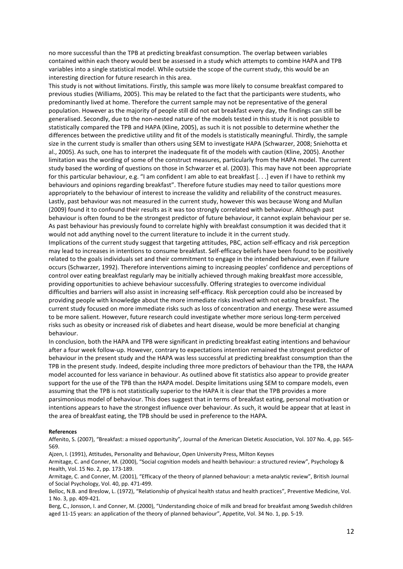no more successful than the TPB at predicting breakfast consumption. The overlap between variables contained within each theory would best be assessed in a study which attempts to combine HAPA and TPB variables into a single statistical model. While outside the scope of the current study, this would be an interesting direction for future research in this area.

This study is not without limitations. Firstly, this sample was more likely to consume breakfast compared to previous studies (Williams, 2005). This may be related to the fact that the participants were students, who predominantly lived at home. Therefore the current sample may not be representative of the general population. However as the majority of people still did not eat breakfast every day, the findings can still be generalised. Secondly, due to the non-nested nature of the models tested in this study it is not possible to statistically compared the TPB and HAPA (Kline, 2005), as such it is not possible to determine whether the differences between the predictive utility and fit of the models is statistically meaningful. Thirdly, the sample size in the current study is smaller than others using SEM to investigate HAPA (Schwarzer, 2008; Sniehotta et al., 2005). As such, one has to interpret the inadequate fit of the models with caution (Kline, 2005). Another limitation was the wording of some of the construct measures, particularly from the HAPA model. The current study based the wording of questions on those in Schwarzer et al. (2003). This may have not been appropriate for this particular behaviour, e.g. "I am confident I am able to eat breakfast [. . .] even if I have to rethink my behaviours and opinions regarding breakfast". Therefore future studies may need to tailor questions more appropriately to the behaviour of interest to increase the validity and reliability of the construct measures. Lastly, past behaviour was not measured in the current study, however this was because Wong and Mullan (2009) found it to confound their results as it was too strongly correlated with behaviour. Although past behaviour is often found to be the strongest predictor of future behaviour, it cannot explain behaviour per se. As past behaviour has previously found to correlate highly with breakfast consumption it was decided that it would not add anything novel to the current literature to include it in the current study.

Implications of the current study suggest that targeting attitudes, PBC, action self-efficacy and risk perception may lead to increases in intentions to consume breakfast. Self-efficacy beliefs have been found to be positively related to the goals individuals set and their commitment to engage in the intended behaviour, even if failure occurs (Schwarzer, 1992). Therefore interventions aiming to increasing peoples' confidence and perceptions of control over eating breakfast regularly may be initially achieved through making breakfast more accessible, providing opportunities to achieve behaviour successfully. Offering strategies to overcome individual difficulties and barriers will also assist in increasing self-efficacy. Risk perception could also be increased by providing people with knowledge about the more immediate risks involved with not eating breakfast. The current study focused on more immediate risks such as loss of concentration and energy. These were assumed to be more salient. However, future research could investigate whether more serious long-term perceived risks such as obesity or increased risk of diabetes and heart disease, would be more beneficial at changing behaviour.

In conclusion, both the HAPA and TPB were significant in predicting breakfast eating intentions and behaviour after a four week follow-up. However, contrary to expectations intention remained the strongest predictor of behaviour in the present study and the HAPA was less successful at predicting breakfast consumption than the TPB in the present study. Indeed, despite including three more predictors of behaviour than the TPB, the HAPA model accounted for less variance in behaviour. As outlined above fit statistics also appear to provide greater support for the use of the TPB than the HAPA model. Despite limitations using SEM to compare models, even assuming that the TPB is not statistically superior to the HAPA it is clear that the TPB provides a more parsimonious model of behaviour. This does suggest that in terms of breakfast eating, personal motivation or intentions appears to have the strongest influence over behaviour. As such, it would be appear that at least in the area of breakfast eating, the TPB should be used in preference to the HAPA.

#### **References**

Affenito, S. (2007), "Breakfast: a missed opportunity", Journal of the American Dietetic Association, Vol. 107 No. 4, pp. 565- 569.

Ajzen, I. (1991), Attitudes, Personality and Behaviour, Open University Press, Milton Keynes

Armitage, C. and Conner, M. (2000), "Social cognition models and health behaviour: a structured review", Psychology & Health, Vol. 15 No. 2, pp. 173-189.

Armitage, C. and Conner, M. (2001), "Efficacy of the theory of planned behaviour: a meta-analytic review", British Journal of Social Psychology, Vol. 40, pp. 471-499.

Belloc, N.B. and Breslow, L. (1972), "Relationship of physical health status and health practices", Preventive Medicine, Vol. 1 No. 3, pp. 409-421.

Berg, C., Jonsson, I. and Conner, M. (2000), "Understanding choice of milk and bread for breakfast among Swedish children aged 11-15 years: an application of the theory of planned behaviour", Appetite, Vol. 34 No. 1, pp. 5-19.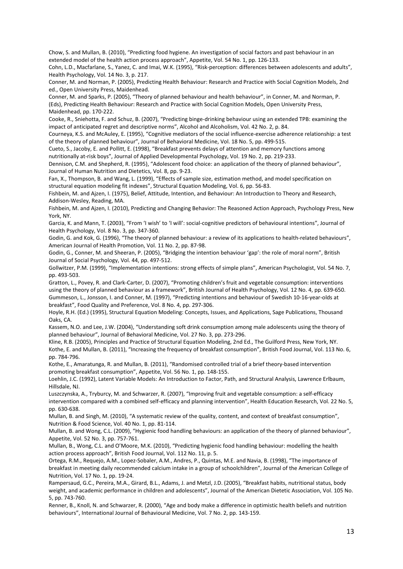Chow, S. and Mullan, B. (2010), "Predicting food hygiene. An investigation of social factors and past behaviour in an extended model of the health action process approach", Appetite, Vol. 54 No. 1, pp. 126-133.

Cohn, L.D., Macfarlane, S., Yanez, C. and Imai, W.K. (1995), "Risk-perception: differences between adolescents and adults", Health Psychology, Vol. 14 No. 3, p. 217.

Conner, M. and Norman, P. (2005), Predicting Health Behaviour: Research and Practice with Social Cognition Models, 2nd ed., Open University Press, Maidenhead.

Conner, M. and Sparks, P. (2005), "Theory of planned behaviour and health behaviour", in Conner, M. and Norman, P. (Eds), Predicting Health Behaviour: Research and Practice with Social Cognition Models, Open University Press, Maidenhead, pp. 170-222.

Cooke, R., Sniehotta, F. and Schuz, B. (2007), "Predicting binge-drinking behaviour using an extended TPB: examining the impact of anticipated regret and descriptive norms", Alcohol and Alcoholism, Vol. 42 No. 2, p. 84.

Courneya, K.S. and McAuley, E. (1995), "Cognitive mediators of the social influence-exercise adherence relationship: a test of the theory of planned behaviour", Journal of Behavioral Medicine, Vol. 18 No. 5, pp. 499-515.

Cueto, S., Jacoby, E. and Pollitt, E. (1998), "Breakfast prevents delays of attention and memory functions among nutritionally at-risk boys", Journal of Applied Developmental Psychology, Vol. 19 No. 2, pp. 219-233.

Dennison, C.M. and Shepherd, R. (1995), "Adolescent food choice: an application of the theory of planned behaviour", Journal of Human Nutrition and Dietetics, Vol. 8, pp. 9-23.

Fan, X., Thompson, B. and Wang, L. (1999), "Effects of sample size, estimation method, and model specification on structural equation modeling fit indexes", Structural Equation Modeling, Vol. 6, pp. 56-83.

Fishbein, M. and Ajzen, I. (1975), Belief, Attitude, Intention, and Behaviour: An Introduction to Theory and Research, Addison-Wesley, Reading, MA.

Fishbein, M. and Ajzen, I. (2010), Predicting and Changing Behavior: The Reasoned Action Approach, Psychology Press, New York, NY.

Garcia, K. and Mann, T. (2003), "From 'I wish' to 'I will': social-cognitive predictors of behavioural intentions", Journal of Health Psychology, Vol. 8 No. 3, pp. 347-360.

Godin, G. and Kok, G. (1996), "The theory of planned behaviour: a review of its applications to health-related behaviours", American Journal of Health Promotion, Vol. 11 No. 2, pp. 87-98.

Godin, G., Conner, M. and Sheeran, P. (2005), "Bridging the intention behaviour 'gap': the role of moral norm", British Journal of Social Psychology, Vol. 44, pp. 497-512.

Gollwitzer, P.M. (1999), "Implementation intentions: strong effects of simple plans", American Psychologist, Vol. 54 No. 7, pp. 493-503.

Gratton, L., Povey, R. and Clark-Carter, D. (2007), "Promoting children's fruit and vegetable consumption: interventions using the theory of planned behaviour as a framework", British Journal of Health Psychology, Vol. 12 No. 4, pp. 639-650. Gummeson, L., Jonsson, I. and Conner, M. (1997), "Predicting intentions and behaviour of Swedish 10-16-year-olds at breakfast", Food Quality and Preference, Vol. 8 No. 4, pp. 297-306.

Hoyle, R.H. (Ed.) (1995), Structural Equation Modeling: Concepts, Issues, and Applications, Sage Publications, Thousand Oaks, CA.

Kassem, N.O. and Lee, J.W. (2004), "Understanding soft drink consumption among male adolescents using the theory of planned behaviour", Journal of Behavioral Medicine, Vol. 27 No. 3, pp. 273-296.

Kline, R.B. (2005), Principles and Practice of Structural Equation Modeling, 2nd Ed., The Guilford Press, New York, NY. Kothe, E. and Mullan, B. (2011), "Increasing the frequency of breakfast consumption", British Food Journal, Vol. 113 No. 6, pp. 784-796.

Kothe, E., Amaratunga, R. and Mullan, B. (2011), "Randomised controlled trial of a brief theory-based intervention promoting breakfast consumption", Appetite, Vol. 56 No. 1, pp. 148-155.

Loehlin, J.C. (1992), Latent Variable Models: An Introduction to Factor, Path, and Structural Analysis, Lawrence Erlbaum, Hillsdale, NJ.

Luszczynska, A., Tryburcy, M. and Schwarzer, R. (2007), "Improving fruit and vegetable consumption: a self-efficacy intervention compared with a combined self-efficacy and planning intervention", Health Education Research, Vol. 22 No. 5, pp. 630-638.

Mullan, B. and Singh, M. (2010), "A systematic review of the quality, content, and context of breakfast consumption", Nutrition & Food Science, Vol. 40 No. 1, pp. 81-114.

Mullan, B. and Wong, C.L. (2009), "Hygienic food handling behaviours: an application of the theory of planned behaviour", Appetite, Vol. 52 No. 3, pp. 757-761.

Mullan, B., Wong, C.L. and O'Moore, M.K. (2010), "Predicting hygienic food handling behaviour: modelling the health action process approach", British Food Journal, Vol. 112 No. 11, p. 5.

Ortega, R.M., Requejo, A.M., Lopez-Sobaler, A.M., Andres, P., Quintas, M.E. and Navia, B. (1998), "The importance of breakfast in meeting daily recommended calcium intake in a group of schoolchildren", Journal of the American College of Nutrition, Vol. 17 No. 1, pp. 19-24.

Rampersaud, G.C., Pereira, M.A., Girard, B.L., Adams, J. and Metzl, J.D. (2005), "Breakfast habits, nutritional status, body weight, and academic performance in children and adolescents", Journal of the American Dietetic Association, Vol. 105 No. 5, pp. 743-760.

Renner, B., Knoll, N. and Schwarzer, R. (2000), "Age and body make a difference in optimistic health beliefs and nutrition behaviours", International Journal of Behavioural Medicine, Vol. 7 No. 2, pp. 143-159.